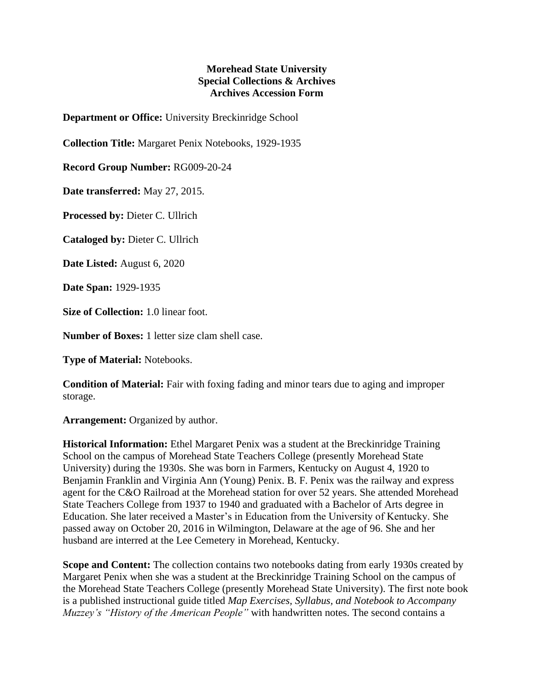## **Morehead State University Special Collections & Archives Archives Accession Form**

**Department or Office:** University Breckinridge School

**Collection Title:** Margaret Penix Notebooks, 1929-1935

**Record Group Number:** RG009-20-24

**Date transferred:** May 27, 2015.

**Processed by:** Dieter C. Ullrich

**Cataloged by:** Dieter C. Ullrich

**Date Listed:** August 6, 2020

**Date Span:** 1929-1935

**Size of Collection:** 1.0 linear foot.

**Number of Boxes:** 1 letter size clam shell case.

**Type of Material:** Notebooks.

**Condition of Material:** Fair with foxing fading and minor tears due to aging and improper storage.

**Arrangement:** Organized by author.

**Historical Information:** Ethel Margaret Penix was a student at the Breckinridge Training School on the campus of Morehead State Teachers College (presently Morehead State University) during the 1930s. She was born in Farmers, Kentucky on August 4, 1920 to Benjamin Franklin and Virginia Ann (Young) Penix. B. F. Penix was the railway and express agent for the C&O Railroad at the Morehead station for over 52 years. She attended Morehead State Teachers College from 1937 to 1940 and graduated with a Bachelor of Arts degree in Education. She later received a Master's in Education from the University of Kentucky. She passed away on October 20, 2016 in Wilmington, Delaware at the age of 96. She and her husband are interred at the Lee Cemetery in Morehead, Kentucky.

**Scope and Content:** The collection contains two notebooks dating from early 1930s created by Margaret Penix when she was a student at the Breckinridge Training School on the campus of the Morehead State Teachers College (presently Morehead State University). The first note book is a published instructional guide titled *Map Exercises, Syllabus, and Notebook to Accompany Muzzey's "History of the American People"* with handwritten notes. The second contains a